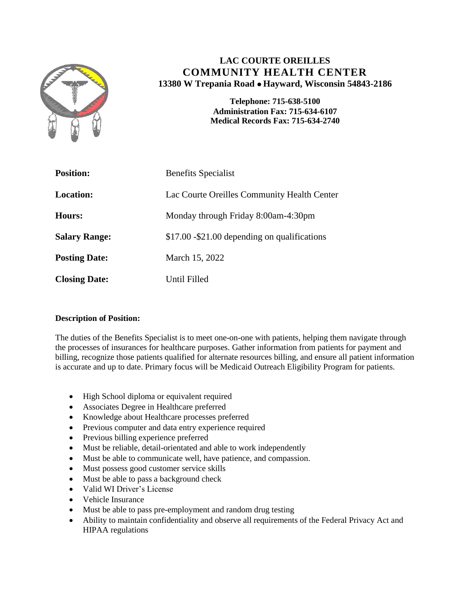

# **LAC COURTE OREILLES COMMUNITY HEALTH CENTER 13380 W Trepania Road Hayward, Wisconsin 54843-2186**

**Telephone: 715-638-5100 Administration Fax: 715-634-6107 Medical Records Fax: 715-634-2740**

| <b>Position:</b>     | <b>Benefits Specialist</b>                    |
|----------------------|-----------------------------------------------|
| <b>Location:</b>     | Lac Courte Oreilles Community Health Center   |
| Hours:               | Monday through Friday 8:00am-4:30pm           |
| <b>Salary Range:</b> | \$17.00 - \$21.00 depending on qualifications |
| <b>Posting Date:</b> | March 15, 2022                                |
| <b>Closing Date:</b> | Until Filled                                  |

## **Description of Position:**

The duties of the Benefits Specialist is to meet one-on-one with patients, helping them navigate through the processes of insurances for healthcare purposes. Gather information from patients for payment and billing, recognize those patients qualified for alternate resources billing, and ensure all patient information is accurate and up to date. Primary focus will be Medicaid Outreach Eligibility Program for patients.

- High School diploma or equivalent required
- Associates Degree in Healthcare preferred
- Knowledge about Healthcare processes preferred
- Previous computer and data entry experience required
- Previous billing experience preferred
- Must be reliable, detail-orientated and able to work independently
- Must be able to communicate well, have patience, and compassion.
- Must possess good customer service skills
- Must be able to pass a background check
- Valid WI Driver's License
- Vehicle Insurance
- Must be able to pass pre-employment and random drug testing
- Ability to maintain confidentiality and observe all requirements of the Federal Privacy Act and HIPAA regulations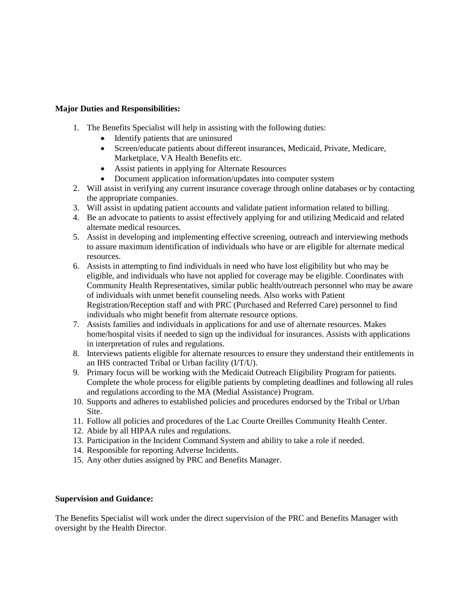#### **Major Duties and Responsibilities:**

- 1. The Benefits Specialist will help in assisting with the following duties:
	- Identify patients that are uninsured
	- Screen/educate patients about different insurances, Medicaid, Private, Medicare, Marketplace, VA Health Benefits etc.
	- Assist patients in applying for Alternate Resources
	- Document application information/updates into computer system
- 2. Will assist in verifying any current insurance coverage through online databases or by contacting the appropriate companies.
- 3. Will assist in updating patient accounts and validate patient information related to billing.
- 4. Be an advocate to patients to assist effectively applying for and utilizing Medicaid and related alternate medical resources.
- 5. Assist in developing and implementing effective screening, outreach and interviewing methods to assure maximum identification of individuals who have or are eligible for alternate medical resources.
- 6. Assists in attempting to find individuals in need who have lost eligibility but who may be eligible, and individuals who have not applied for coverage may be eligible. Coordinates with Community Health Representatives, similar public health/outreach personnel who may be aware of individuals with unmet benefit counseling needs. Also works with Patient Registration/Reception staff and with PRC (Purchased and Referred Care) personnel to find individuals who might benefit from alternate resource options.
- 7. Assists families and individuals in applications for and use of alternate resources. Makes home/hospital visits if needed to sign up the individual for insurances. Assists with applications in interpretation of rules and regulations.
- 8. Interviews patients eligible for alternate resources to ensure they understand their entitlements in an IHS contracted Tribal or Urban facility (I/T/U).
- 9. Primary focus will be working with the Medicaid Outreach Eligibility Program for patients. Complete the whole process for eligible patients by completing deadlines and following all rules and regulations according to the MA (Medial Assistance) Program.
- 10. Supports and adheres to established policies and procedures endorsed by the Tribal or Urban Site.
- 11. Follow all policies and procedures of the Lac Courte Oreilles Community Health Center.
- 12. Abide by all HIPAA rules and regulations.
- 13. Participation in the Incident Command System and ability to take a role if needed.
- 14. Responsible for reporting Adverse Incidents.
- 15. Any other duties assigned by PRC and Benefits Manager.

### **Supervision and Guidance:**

The Benefits Specialist will work under the direct supervision of the PRC and Benefits Manager with oversight by the Health Director.